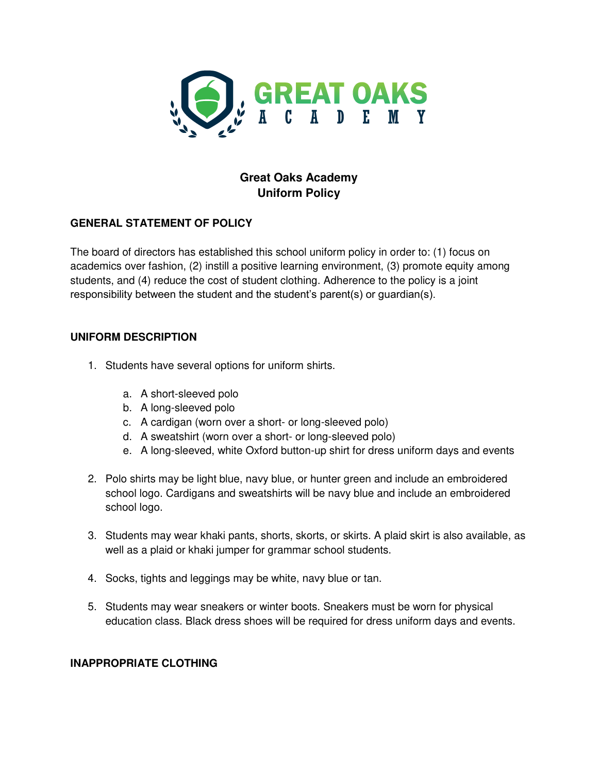

# **Great Oaks Academy Uniform Policy**

# **GENERAL STATEMENT OF POLICY**

The board of directors has established this school uniform policy in order to: (1) focus on academics over fashion, (2) instill a positive learning environment, (3) promote equity among students, and (4) reduce the cost of student clothing. Adherence to the policy is a joint responsibility between the student and the student's parent(s) or guardian(s).

### **UNIFORM DESCRIPTION**

- 1. Students have several options for uniform shirts.
	- a. A short-sleeved polo
	- b. A long-sleeved polo
	- c. A cardigan (worn over a short- or long-sleeved polo)
	- d. A sweatshirt (worn over a short- or long-sleeved polo)
	- e. A long-sleeved, white Oxford button-up shirt for dress uniform days and events
- 2. Polo shirts may be light blue, navy blue, or hunter green and include an embroidered school logo. Cardigans and sweatshirts will be navy blue and include an embroidered school logo.
- 3. Students may wear khaki pants, shorts, skorts, or skirts. A plaid skirt is also available, as well as a plaid or khaki jumper for grammar school students.
- 4. Socks, tights and leggings may be white, navy blue or tan.
- 5. Students may wear sneakers or winter boots. Sneakers must be worn for physical education class. Black dress shoes will be required for dress uniform days and events.

#### **INAPPROPRIATE CLOTHING**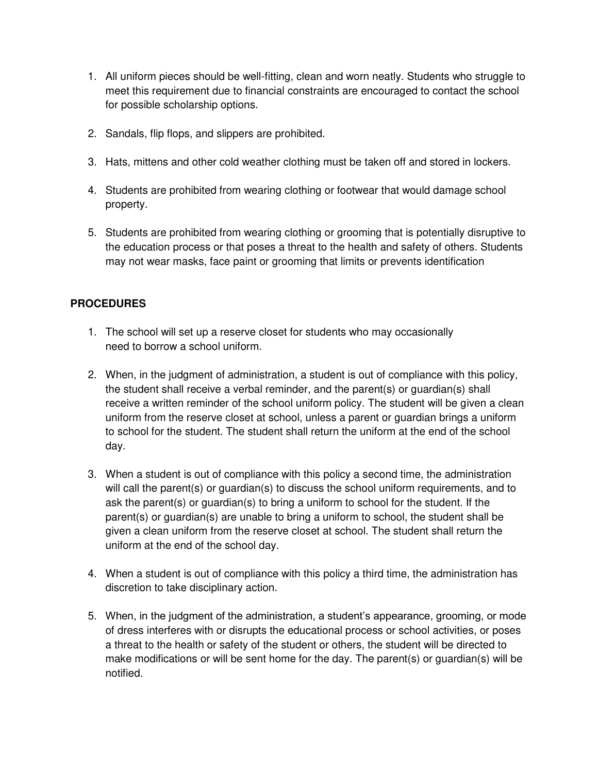- 1. All uniform pieces should be well-fitting, clean and worn neatly. Students who struggle to meet this requirement due to financial constraints are encouraged to contact the school for possible scholarship options.
- 2. Sandals, flip flops, and slippers are prohibited.
- 3. Hats, mittens and other cold weather clothing must be taken off and stored in lockers.
- 4. Students are prohibited from wearing clothing or footwear that would damage school property.
- 5. Students are prohibited from wearing clothing or grooming that is potentially disruptive to the education process or that poses a threat to the health and safety of others. Students may not wear masks, face paint or grooming that limits or prevents identification

# **PROCEDURES**

- 1. The school will set up a reserve closet for students who may occasionally need to borrow a school uniform.
- 2. When, in the judgment of administration, a student is out of compliance with this policy, the student shall receive a verbal reminder, and the parent(s) or guardian(s) shall receive a written reminder of the school uniform policy. The student will be given a clean uniform from the reserve closet at school, unless a parent or guardian brings a uniform to school for the student. The student shall return the uniform at the end of the school day.
- 3. When a student is out of compliance with this policy a second time, the administration will call the parent(s) or guardian(s) to discuss the school uniform requirements, and to ask the parent(s) or guardian(s) to bring a uniform to school for the student. If the parent(s) or guardian(s) are unable to bring a uniform to school, the student shall be given a clean uniform from the reserve closet at school. The student shall return the uniform at the end of the school day.
- 4. When a student is out of compliance with this policy a third time, the administration has discretion to take disciplinary action.
- 5. When, in the judgment of the administration, a student's appearance, grooming, or mode of dress interferes with or disrupts the educational process or school activities, or poses a threat to the health or safety of the student or others, the student will be directed to make modifications or will be sent home for the day. The parent(s) or guardian(s) will be notified.